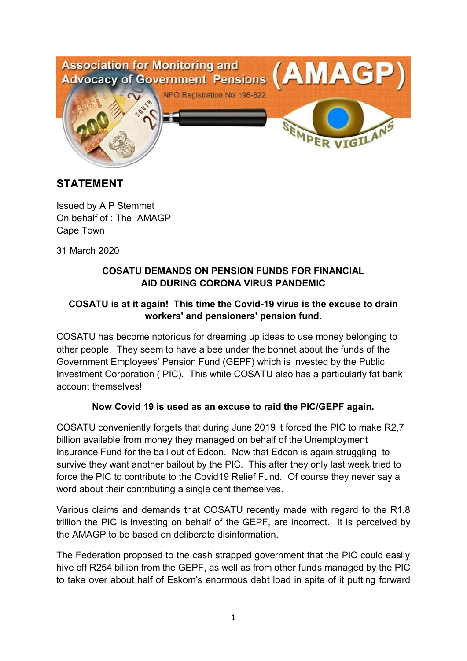

# **STATEMENT**

Issued by A P Stemmet On behalf of : The AMAGP Cape Town

31 March 2020

#### **COSATU DEMANDS ON PENSION FUNDS FOR FINANCIAL AID DURING CORONA VIRUS PANDEMIC**

## **COSATU is at it again! This time the Covid-19 virus is the excuse to drain workers' and pensioners' pension fund.**

COSATU has become notorious for dreaming up ideas to use money belonging to other people. They seem to have a bee under the bonnet about the funds of the Government Employees' Pension Fund (GEPF) which is invested by the Public Investment Corporation ( PIC). This while COSATU also has a particularly fat bank account themselves!

#### **Now Covid 19 is used as an excuse to raid the PIC/GEPF again.**

COSATU conveniently forgets that during June 2019 it forced the PIC to make R2,7 billion available from money they managed on behalf of the Unemployment Insurance Fund for the bail out of Edcon. Now that Edcon is again struggling to survive they want another bailout by the PIC. This after they only last week tried to force the PIC to contribute to the Covid19 Relief Fund. Of course they never say a word about their contributing a single cent themselves.

Various claims and demands that COSATU recently made with regard to the R1.8 trillion the PIC is investing on behalf of the GEPF, are incorrect. It is perceived by the AMAGP to be based on deliberate disinformation.

The Federation proposed to the cash strapped government that the PIC could easily hive off R254 billion from the GEPF, as well as from other funds managed by the PIC to take over about half of Eskom's enormous debt load in spite of it putting forward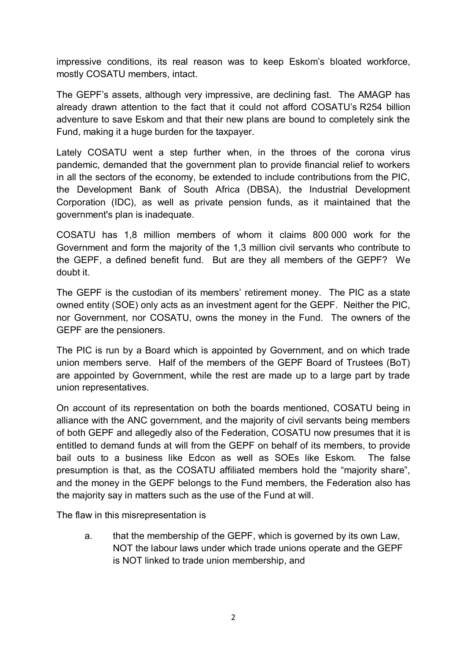impressive conditions, its real reason was to keep Eskom's bloated workforce, mostly COSATU members, intact.

The GEPF's assets, although very impressive, are declining fast. The AMAGP has already drawn attention to the fact that it could not afford COSATU's R254 billion adventure to save Eskom and that their new plans are bound to completely sink the Fund, making it a huge burden for the taxpayer.

Lately COSATU went a step further when, in the throes of the corona virus pandemic, demanded that the government plan to provide financial relief to workers in all the sectors of the economy, be extended to include contributions from the PIC, the Development Bank of South Africa (DBSA), the Industrial Development Corporation (IDC), as well as private pension funds, as it maintained that the government's plan is inadequate.

COSATU has 1,8 million members of whom it claims 800 000 work for the Government and form the majority of the 1,3 million civil servants who contribute to the GEPF, a defined benefit fund. But are they all members of the GEPF? We doubt it.

The GEPF is the custodian of its members' retirement money. The PIC as a state owned entity (SOE) only acts as an investment agent for the GEPF. Neither the PIC, nor Government, nor COSATU, owns the money in the Fund. The owners of the GEPF are the pensioners.

The PIC is run by a Board which is appointed by Government, and on which trade union members serve. Half of the members of the GEPF Board of Trustees (BoT) are appointed by Government, while the rest are made up to a large part by trade union representatives.

On account of its representation on both the boards mentioned, COSATU being in alliance with the ANC government, and the majority of civil servants being members of both GEPF and allegedly also of the Federation, COSATU now presumes that it is entitled to demand funds at will from the GEPF on behalf of its members, to provide bail outs to a business like Edcon as well as SOEs like Eskom. The false presumption is that, as the COSATU affiliated members hold the "majority share", and the money in the GEPF belongs to the Fund members, the Federation also has the majority say in matters such as the use of the Fund at will.

The flaw in this misrepresentation is

a. that the membership of the GEPF, which is governed by its own Law, NOT the labour laws under which trade unions operate and the GEPF is NOT linked to trade union membership, and